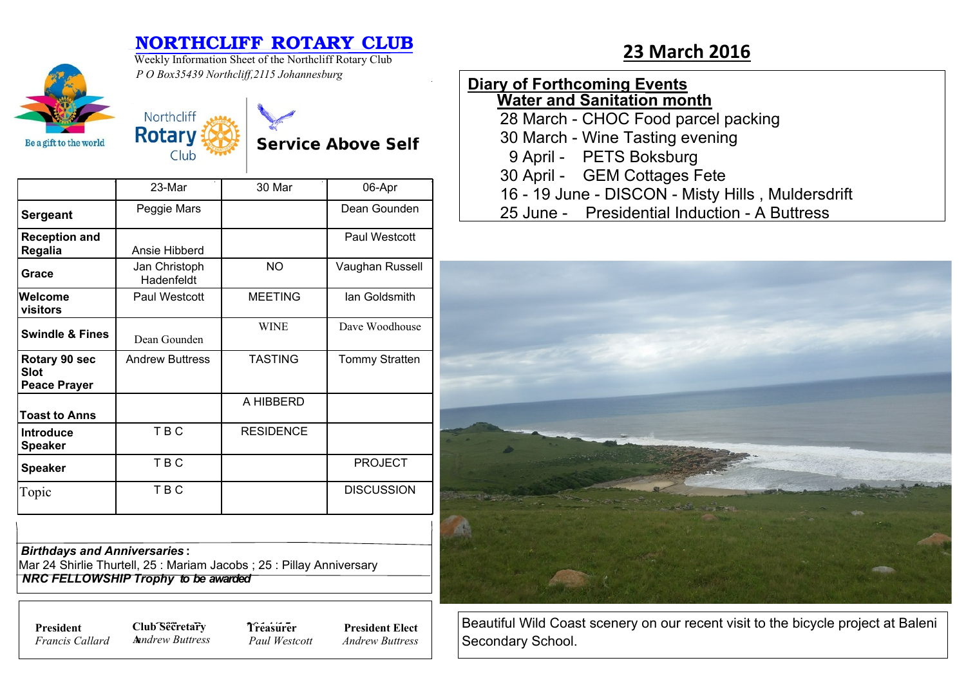## **NORTHCLIFF ROTARY CLUB**<br>Weekly Information Sheet of the Northcliff Rotary Club 23 March 2016

**Service Above Self** 



Weekly Information Sheet of the Northcliff Rotary Club *P O Box35439 Northcliff,2115 Johannesburg*

Northcliff **Rotary** 

Club

| <b>Diary of Forthcoming Events</b>                |  |  |  |  |
|---------------------------------------------------|--|--|--|--|
| <b>Water and Sanitation month</b>                 |  |  |  |  |
| 28 March - CHOC Food parcel packing               |  |  |  |  |
| 30 March - Wine Tasting evening                   |  |  |  |  |
| 9 April - PETS Boksburg                           |  |  |  |  |
| 30 April - GEM Cottages Fete                      |  |  |  |  |
| 16 - 19 June - DISCON - Misty Hills, Muldersdrift |  |  |  |  |
| 25 June - Presidential Induction - A Buttress     |  |  |  |  |



Beautiful Wild Coast scenery on our recent visit to the bicycle project at Baleni Secondary School.

|                                                     | $23-Mar$                    | 30 Mar           | 06-Apr                |
|-----------------------------------------------------|-----------------------------|------------------|-----------------------|
| <b>Sergeant</b>                                     | Peggie Mars                 |                  | Dean Gounden          |
| <b>Reception and</b><br>Regalia                     | Ansie Hibberd               |                  | Paul Westcott         |
| Grace                                               | Jan Christoph<br>Hadenfeldt | NO.              | Vaughan Russell       |
| Welcome<br>visitors                                 | Paul Westcott               | <b>MEETING</b>   | lan Goldsmith         |
| <b>Swindle &amp; Fines</b>                          | Dean Gounden                | <b>WINE</b>      | Dave Woodhouse        |
| Rotary 90 sec<br><b>Slot</b><br><b>Peace Prayer</b> | <b>Andrew Buttress</b>      | <b>TASTING</b>   | <b>Tommy Stratten</b> |
| <b>Toast to Anns</b>                                |                             | A HIBBERD        |                       |
| <b>Introduce</b><br><b>Speaker</b>                  | TBC                         | <b>RESIDENCE</b> |                       |
| <b>Speaker</b>                                      | <b>TBC</b>                  |                  | <b>PROJECT</b>        |
| Topic                                               | TBC                         |                  | <b>DISCUSSION</b>     |

*Birthdays and Anniversaries* **:**

Mar 24 Shirlie Thurtell, 25 : Mariam Jacobs ; 25 : Pillay Anniversary  *NRC FELLOWSHIP Trophy to be awarded*

*Francis Callard*

**President Club Secretary 7** *Treasure* **A***nndrew Buttress*

**Treasurer** *Paul Westcott*

**President Elect** *Andrew Buttress*